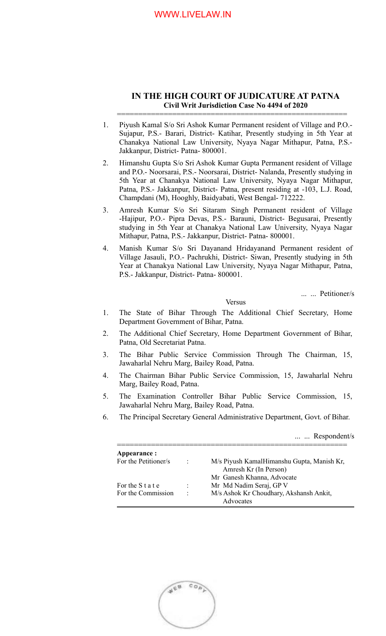### WWW.LIVELAW.IN

## **IN THE HIGH COURT OF JUDICATURE AT PATNA Civil Writ Jurisdiction Case No 4494 of 2020**

======================================================

- 1. Piyush Kamal S/o Sri Ashok Kumar Permanent resident of Village and P.O.- Sujapur, P.S.- Barari, District- Katihar, Presently studying in 5th Year at Chanakya National Law University, Nyaya Nagar Mithapur, Patna, P.S.- Jakkanpur, District- Patna- 800001.
- 2. Himanshu Gupta S/o Sri Ashok Kumar Gupta Permanent resident of Village and P.O.- Noorsarai, P.S.- Noorsarai, District- Nalanda, Presently studying in 5th Year at Chanakya National Law University, Nyaya Nagar Mithapur, Patna, P.S.- Jakkanpur, District- Patna, present residing at -103, L.J. Road, Champdani (M), Hooghly, Baidyabati, West Bengal- 712222.
- 3. Amresh Kumar S/o Sri Sitaram Singh Permanent resident of Village -Hajipur, P.O.- Pipra Devas, P.S.- Barauni, District- Begusarai, Presently studying in 5th Year at Chanakya National Law University, Nyaya Nagar Mithapur, Patna, P.S.- Jakkanpur, District- Patna- 800001.
- 4. Manish Kumar S/o Sri Dayanand Hridayanand Permanent resident of Village Jasauli, P.O.- Pachrukhi, District- Siwan, Presently studying in 5th Year at Chanakya National Law University, Nyaya Nagar Mithapur, Patna, P.S.- Jakkanpur, District- Patna- 800001.

... ... Petitioner/s

#### Versus

- 1. The State of Bihar Through The Additional Chief Secretary, Home Department Government of Bihar, Patna.
- 2. The Additional Chief Secretary, Home Department Government of Bihar, Patna, Old Secretariat Patna.
- 3. The Bihar Public Service Commission Through The Chairman, 15, Jawaharlal Nehru Marg, Bailey Road, Patna.
- 4. The Chairman Bihar Public Service Commission, 15, Jawaharlal Nehru Marg, Bailey Road, Patna.
- 5. The Examination Controller Bihar Public Service Commission, 15, Jawaharlal Nehru Marg, Bailey Road, Patna.
- 6. The Principal Secretary General Administrative Department, Govt. of Bihar.

... ... Respondent/s

| Appearance:          |                      |                                            |
|----------------------|----------------------|--------------------------------------------|
| For the Petitioner/s | $\ddot{\phantom{0}}$ | M/s Piyush KamalHimanshu Gupta, Manish Kr, |
|                      |                      | Amresh Kr (In Person)                      |
|                      |                      | Mr Ganesh Khanna, Advocate                 |
| For the S t a t e    |                      | Mr Md Nadim Seraj, GP V                    |
| For the Commission   | :                    | M/s Ashok Kr Choudhary, Akshansh Ankit,    |
|                      |                      | Advocates                                  |

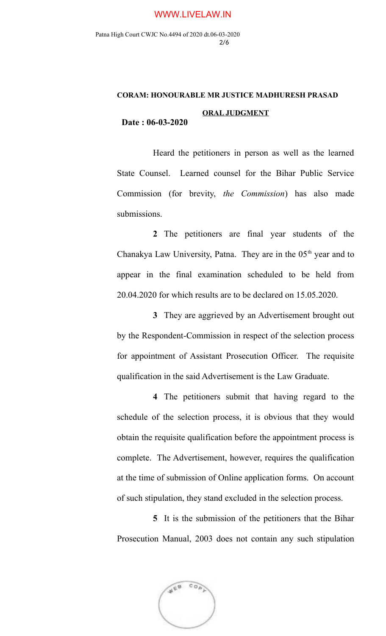#### WWW.LIVELAW.IN

Patna High Court CWJC No.4494 of 2020 dt.06-03-2020 2/6

# **CORAM: HONOURABLE MR JUSTICE MADHURESH PRASAD ORAL JUDGMENT Date : 06-03-2020**

Heard the petitioners in person as well as the learned State Counsel. Learned counsel for the Bihar Public Service Commission (for brevity, *the Commission*) has also made submissions.

**2** The petitioners are final year students of the Chanakya Law University, Patna. They are in the  $05<sup>th</sup>$  year and to appear in the final examination scheduled to be held from 20.04.2020 for which results are to be declared on 15.05.2020.

**3** They are aggrieved by an Advertisement brought out by the Respondent-Commission in respect of the selection process for appointment of Assistant Prosecution Officer. The requisite qualification in the said Advertisement is the Law Graduate.

**4** The petitioners submit that having regard to the schedule of the selection process, it is obvious that they would obtain the requisite qualification before the appointment process is complete. The Advertisement, however, requires the qualification at the time of submission of Online application forms. On account of such stipulation, they stand excluded in the selection process.

**5** It is the submission of the petitioners that the Bihar Prosecution Manual, 2003 does not contain any such stipulation

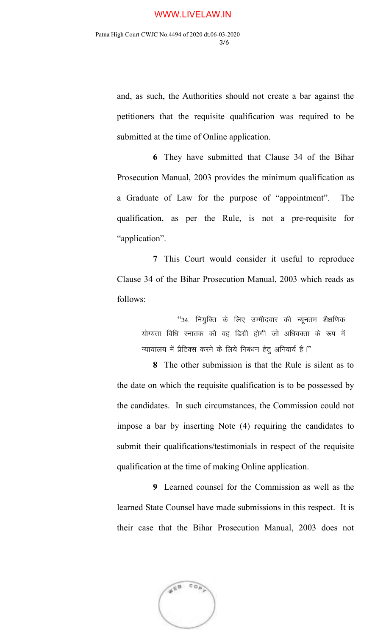and, as such, the Authorities should not create a bar against the petitioners that the requisite qualification was required to be submitted at the time of Online application.

**6** They have submitted that Clause 34 of the Bihar Prosecution Manual, 2003 provides the minimum qualification as a Graduate of Law for the purpose of "appointment". The qualification, as per the Rule, is not a pre-requisite for "application".

**7** This Court would consider it useful to reproduce Clause 34 of the Bihar Prosecution Manual, 2003 which reads as follows:

> "34. नियुक्ति के लिए उम्मीदवार की न्यूनतम शैक्षणिक योग्यता विधि स्नातक की वह डिग्री होगी जो अधिवक्ता के रूप में न्यायालय में प्रैटिक्स करने के लिये निबंधन हेतु अनिवार्य है।"

**8** The other submission is that the Rule is silent as to the date on which the requisite qualification is to be possessed by the candidates. In such circumstances, the Commission could not impose a bar by inserting Note (4) requiring the candidates to submit their qualifications/testimonials in respect of the requisite qualification at the time of making Online application.

**9** Learned counsel for the Commission as well as the learned State Counsel have made submissions in this respect. It is their case that the Bihar Prosecution Manual, 2003 does not

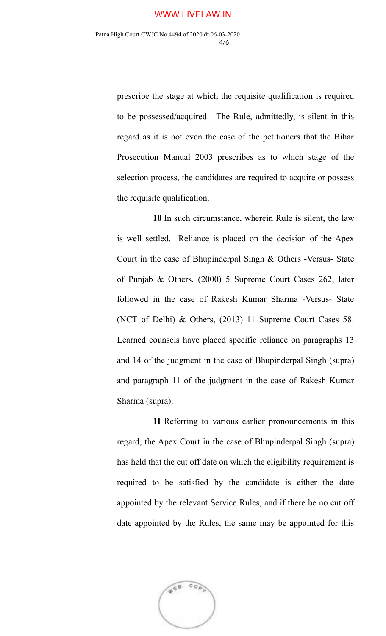prescribe the stage at which the requisite qualification is required to be possessed/acquired. The Rule, admittedly, is silent in this regard as it is not even the case of the petitioners that the Bihar Prosecution Manual 2003 prescribes as to which stage of the selection process, the candidates are required to acquire or possess the requisite qualification.

**10** In such circumstance, wherein Rule is silent, the law is well settled. Reliance is placed on the decision of the Apex Court in the case of Bhupinderpal Singh & Others -Versus- State of Punjab & Others, (2000) 5 Supreme Court Cases 262, later followed in the case of Rakesh Kumar Sharma -Versus- State (NCT of Delhi) & Others, (2013) 11 Supreme Court Cases 58. Learned counsels have placed specific reliance on paragraphs 13 and 14 of the judgment in the case of Bhupinderpal Singh (supra) and paragraph 11 of the judgment in the case of Rakesh Kumar Sharma (supra).

**11** Referring to various earlier pronouncements in this regard, the Apex Court in the case of Bhupinderpal Singh (supra) has held that the cut off date on which the eligibility requirement is required to be satisfied by the candidate is either the date appointed by the relevant Service Rules, and if there be no cut off date appointed by the Rules, the same may be appointed for this

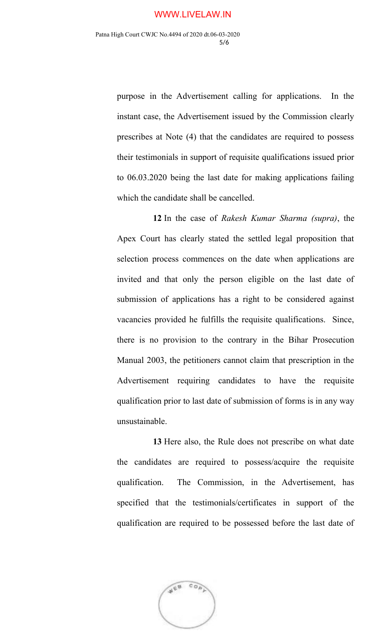purpose in the Advertisement calling for applications. In the instant case, the Advertisement issued by the Commission clearly prescribes at Note (4) that the candidates are required to possess their testimonials in support of requisite qualifications issued prior to 06.03.2020 being the last date for making applications failing which the candidate shall be cancelled.

**12** In the case of *Rakesh Kumar Sharma (supra)*, the Apex Court has clearly stated the settled legal proposition that selection process commences on the date when applications are invited and that only the person eligible on the last date of submission of applications has a right to be considered against vacancies provided he fulfills the requisite qualifications. Since, there is no provision to the contrary in the Bihar Prosecution Manual 2003, the petitioners cannot claim that prescription in the Advertisement requiring candidates to have the requisite qualification prior to last date of submission of forms is in any way unsustainable.

**13** Here also, the Rule does not prescribe on what date the candidates are required to possess/acquire the requisite qualification. The Commission, in the Advertisement, has specified that the testimonials/certificates in support of the qualification are required to be possessed before the last date of